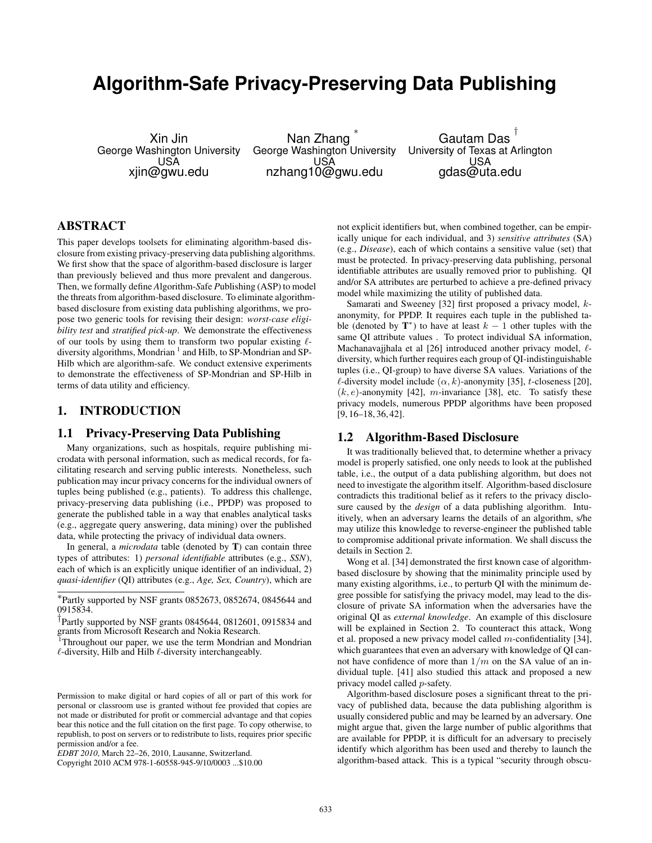# **Algorithm-Safe Privacy-Preserving Data Publishing**

Xin Jin George Washington University USA xjin@gwu.edu

Nan Zhang ∗ George Washington University USA nzhang10@gwu.edu

Gautam Das † University of Texas at Arlington USA gdas@uta.edu

# ABSTRACT

This paper develops toolsets for eliminating algorithm-based disclosure from existing privacy-preserving data publishing algorithms. We first show that the space of algorithm-based disclosure is larger than previously believed and thus more prevalent and dangerous. Then, we formally define *A*lgorithm-*S*afe *P*ublishing (ASP) to model the threats from algorithm-based disclosure. To eliminate algorithmbased disclosure from existing data publishing algorithms, we propose two generic tools for revising their design: *worst-case eligibility test* and *stratified pick-up*. We demonstrate the effectiveness of our tools by using them to transform two popular existing  $\ell$ diversity algorithms, Mondrian 1 and Hilb, to SP-Mondrian and SP-Hilb which are algorithm-safe. We conduct extensive experiments to demonstrate the effectiveness of SP-Mondrian and SP-Hilb in terms of data utility and efficiency.

# 1. INTRODUCTION

## 1.1 Privacy-Preserving Data Publishing

Many organizations, such as hospitals, require publishing microdata with personal information, such as medical records, for facilitating research and serving public interests. Nonetheless, such publication may incur privacy concerns for the individual owners of tuples being published (e.g., patients). To address this challenge, privacy-preserving data publishing (i.e., PPDP) was proposed to generate the published table in a way that enables analytical tasks (e.g., aggregate query answering, data mining) over the published data, while protecting the privacy of individual data owners.

In general, a *microdata* table (denoted by T) can contain three types of attributes: 1) *personal identifiable* attributes (e.g., *SSN*), each of which is an explicitly unique identifier of an individual, 2) *quasi-identifier* (QI) attributes (e.g., *Age, Sex, Country*), which are

not explicit identifiers but, when combined together, can be empirically unique for each individual, and 3) *sensitive attributes* (SA) (e.g., *Disease*), each of which contains a sensitive value (set) that must be protected. In privacy-preserving data publishing, personal identifiable attributes are usually removed prior to publishing. QI and/or SA attributes are perturbed to achieve a pre-defined privacy model while maximizing the utility of published data.

Samarati and Sweeney [32] first proposed a privacy model, kanonymity, for PPDP. It requires each tuple in the published table (denoted by  $T^*$ ) to have at least  $k-1$  other tuples with the same QI attribute values . To protect individual SA information, Machanavajjhala et al [26] introduced another privacy model,  $\ell$ diversity, which further requires each group of QI-indistinguishable tuples (i.e., QI-group) to have diverse SA values. Variations of the  $\ell$ -diversity model include  $(\alpha, k)$ -anonymity [35], t-closeness [20],  $(k, e)$ -anonymity [42], *m*-invariance [38], etc. To satisfy these privacy models, numerous PPDP algorithms have been proposed [9, 16–18, 36, 42].

## 1.2 Algorithm-Based Disclosure

It was traditionally believed that, to determine whether a privacy model is properly satisfied, one only needs to look at the published table, i.e., the output of a data publishing algorithm, but does not need to investigate the algorithm itself. Algorithm-based disclosure contradicts this traditional belief as it refers to the privacy disclosure caused by the *design* of a data publishing algorithm. Intuitively, when an adversary learns the details of an algorithm, s/he may utilize this knowledge to reverse-engineer the published table to compromise additional private information. We shall discuss the details in Section 2.

Wong et al. [34] demonstrated the first known case of algorithmbased disclosure by showing that the minimality principle used by many existing algorithms, i.e., to perturb QI with the minimum degree possible for satisfying the privacy model, may lead to the disclosure of private SA information when the adversaries have the original QI as *external knowledge*. An example of this disclosure will be explained in Section 2. To counteract this attack, Wong et al. proposed a new privacy model called m-confidentiality [34], which guarantees that even an adversary with knowledge of QI cannot have confidence of more than  $1/m$  on the SA value of an individual tuple. [41] also studied this attack and proposed a new privacy model called p-safety.

Algorithm-based disclosure poses a significant threat to the privacy of published data, because the data publishing algorithm is usually considered public and may be learned by an adversary. One might argue that, given the large number of public algorithms that are available for PPDP, it is difficult for an adversary to precisely identify which algorithm has been used and thereby to launch the algorithm-based attack. This is a typical "security through obscu-

<sup>∗</sup> Partly supported by NSF grants 0852673, 0852674, 0845644 and 0915834.

<sup>†</sup> Partly supported by NSF grants 0845644, 0812601, 0915834 and grants from Microsoft Research and Nokia Research.

<sup>1</sup>Throughout our paper, we use the term Mondrian and Mondrian  $\ell$ -diversity, Hilb and Hilb  $\ell$ -diversity interchangeably.

Permission to make digital or hard copies of all or part of this work for personal or classroom use is granted without fee provided that copies are not made or distributed for profit or commercial advantage and that copies bear this notice and the full citation on the first page. To copy otherwise, to republish, to post on servers or to redistribute to lists, requires prior specific permission and/or a fee.

*EDBT 2010*, March 22–26, 2010, Lausanne, Switzerland.

Copyright 2010 ACM 978-1-60558-945-9/10/0003 ...\$10.00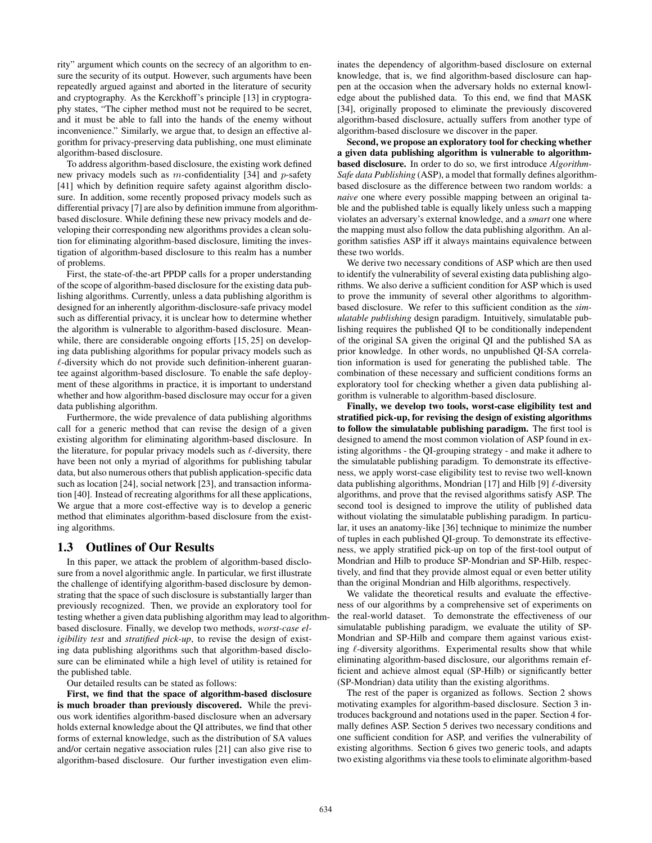rity" argument which counts on the secrecy of an algorithm to ensure the security of its output. However, such arguments have been repeatedly argued against and aborted in the literature of security and cryptography. As the Kerckhoff's principle [13] in cryptography states, "The cipher method must not be required to be secret, and it must be able to fall into the hands of the enemy without inconvenience." Similarly, we argue that, to design an effective algorithm for privacy-preserving data publishing, one must eliminate algorithm-based disclosure.

To address algorithm-based disclosure, the existing work defined new privacy models such as  $m$ -confidentiality [34] and  $p$ -safety [41] which by definition require safety against algorithm disclosure. In addition, some recently proposed privacy models such as differential privacy [7] are also by definition immune from algorithmbased disclosure. While defining these new privacy models and developing their corresponding new algorithms provides a clean solution for eliminating algorithm-based disclosure, limiting the investigation of algorithm-based disclosure to this realm has a number of problems.

First, the state-of-the-art PPDP calls for a proper understanding of the scope of algorithm-based disclosure for the existing data publishing algorithms. Currently, unless a data publishing algorithm is designed for an inherently algorithm-disclosure-safe privacy model such as differential privacy, it is unclear how to determine whether the algorithm is vulnerable to algorithm-based disclosure. Meanwhile, there are considerable ongoing efforts [15, 25] on developing data publishing algorithms for popular privacy models such as  $\ell$ -diversity which do not provide such definition-inherent guarantee against algorithm-based disclosure. To enable the safe deployment of these algorithms in practice, it is important to understand whether and how algorithm-based disclosure may occur for a given data publishing algorithm.

Furthermore, the wide prevalence of data publishing algorithms call for a generic method that can revise the design of a given existing algorithm for eliminating algorithm-based disclosure. In the literature, for popular privacy models such as  $\ell$ -diversity, there have been not only a myriad of algorithms for publishing tabular data, but also numerous others that publish application-specific data such as location [24], social network [23], and transaction information [40]. Instead of recreating algorithms for all these applications, We argue that a more cost-effective way is to develop a generic method that eliminates algorithm-based disclosure from the existing algorithms.

# 1.3 Outlines of Our Results

In this paper, we attack the problem of algorithm-based disclosure from a novel algorithmic angle. In particular, we first illustrate the challenge of identifying algorithm-based disclosure by demonstrating that the space of such disclosure is substantially larger than previously recognized. Then, we provide an exploratory tool for testing whether a given data publishing algorithm may lead to algorithmbased disclosure. Finally, we develop two methods, *worst-case eligibility test* and *stratified pick-up*, to revise the design of existing data publishing algorithms such that algorithm-based disclosure can be eliminated while a high level of utility is retained for the published table.

Our detailed results can be stated as follows:

First, we find that the space of algorithm-based disclosure is much broader than previously discovered. While the previous work identifies algorithm-based disclosure when an adversary holds external knowledge about the QI attributes, we find that other forms of external knowledge, such as the distribution of SA values and/or certain negative association rules [21] can also give rise to algorithm-based disclosure. Our further investigation even eliminates the dependency of algorithm-based disclosure on external knowledge, that is, we find algorithm-based disclosure can happen at the occasion when the adversary holds no external knowledge about the published data. To this end, we find that MASK [34], originally proposed to eliminate the previously discovered algorithm-based disclosure, actually suffers from another type of algorithm-based disclosure we discover in the paper.

Second, we propose an exploratory tool for checking whether a given data publishing algorithm is vulnerable to algorithmbased disclosure. In order to do so, we first introduce *Algorithm-Safe data Publishing* (ASP), a model that formally defines algorithmbased disclosure as the difference between two random worlds: a *naive* one where every possible mapping between an original table and the published table is equally likely unless such a mapping violates an adversary's external knowledge, and a *smart* one where the mapping must also follow the data publishing algorithm. An algorithm satisfies ASP iff it always maintains equivalence between these two worlds.

We derive two necessary conditions of ASP which are then used to identify the vulnerability of several existing data publishing algorithms. We also derive a sufficient condition for ASP which is used to prove the immunity of several other algorithms to algorithmbased disclosure. We refer to this sufficient condition as the *simulatable publishing* design paradigm. Intuitively, simulatable publishing requires the published QI to be conditionally independent of the original SA given the original QI and the published SA as prior knowledge. In other words, no unpublished QI-SA correlation information is used for generating the published table. The combination of these necessary and sufficient conditions forms an exploratory tool for checking whether a given data publishing algorithm is vulnerable to algorithm-based disclosure.

Finally, we develop two tools, worst-case eligibility test and stratified pick-up, for revising the design of existing algorithms to follow the simulatable publishing paradigm. The first tool is designed to amend the most common violation of ASP found in existing algorithms - the QI-grouping strategy - and make it adhere to the simulatable publishing paradigm. To demonstrate its effectiveness, we apply worst-case eligibility test to revise two well-known data publishing algorithms, Mondrian [17] and Hilb [9]  $\ell$ -diversity algorithms, and prove that the revised algorithms satisfy ASP. The second tool is designed to improve the utility of published data without violating the simulatable publishing paradigm. In particular, it uses an anatomy-like [36] technique to minimize the number of tuples in each published QI-group. To demonstrate its effectiveness, we apply stratified pick-up on top of the first-tool output of Mondrian and Hilb to produce SP-Mondrian and SP-Hilb, respectively, and find that they provide almost equal or even better utility than the original Mondrian and Hilb algorithms, respectively.

We validate the theoretical results and evaluate the effectiveness of our algorithms by a comprehensive set of experiments on the real-world dataset. To demonstrate the effectiveness of our simulatable publishing paradigm, we evaluate the utility of SP-Mondrian and SP-Hilb and compare them against various existing  $\ell$ -diversity algorithms. Experimental results show that while eliminating algorithm-based disclosure, our algorithms remain efficient and achieve almost equal (SP-Hilb) or significantly better (SP-Mondrian) data utility than the existing algorithms.

The rest of the paper is organized as follows. Section 2 shows motivating examples for algorithm-based disclosure. Section 3 introduces background and notations used in the paper. Section 4 formally defines ASP. Section 5 derives two necessary conditions and one sufficient condition for ASP, and verifies the vulnerability of existing algorithms. Section 6 gives two generic tools, and adapts two existing algorithms via these tools to eliminate algorithm-based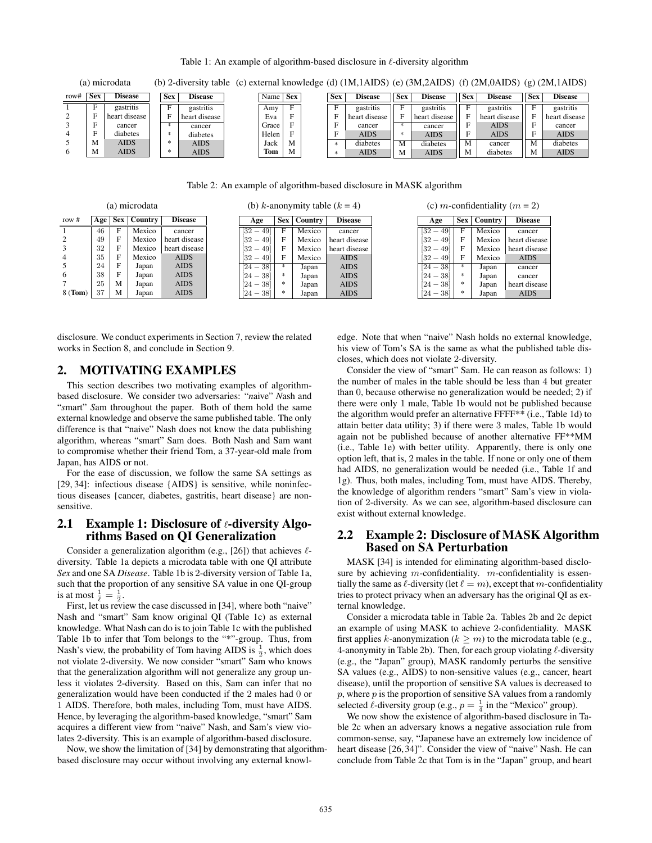Table 1: An example of algorithm-based disclosure in  $\ell$ -diversity algorithm

| (a) microdata |       |                |  |            | (b) 2-diversity table (c) external knowledge (d) $(1M, 1AIDS)$ (e) $(3M, 2AIDS)$ (f) $(2M, 0AIDS)$ (g) $(2M, 1AIDS)$ |  |          |   |  |            |                |            |                |            |                |                |                |
|---------------|-------|----------------|--|------------|----------------------------------------------------------------------------------------------------------------------|--|----------|---|--|------------|----------------|------------|----------------|------------|----------------|----------------|----------------|
| row#          | . Sex | <b>Disease</b> |  | <b>Sex</b> | <b>Disease</b>                                                                                                       |  | Name Sex |   |  | <b>Sex</b> | <b>Disease</b> | <b>Sex</b> | <b>Disease</b> | <b>Sex</b> | <b>Disease</b> | <b>Sex</b>     | <b>Disease</b> |
|               |       | gastritis      |  |            | gastritis                                                                                                            |  | Amv      | E |  |            | gastritis      |            | gastritis      |            | gastritis      |                | gastritis      |
|               |       | heart disease  |  | F          | heart disease                                                                                                        |  | Eva      | Е |  |            | heart disease  | F          | heart disease  |            | heart disease  |                | heart disease  |
|               |       | cancer         |  | 永          | cancer                                                                                                               |  | Grace    |   |  |            | cancer         | 永          | cancer         |            | <b>AIDS</b>    |                | cancer         |
|               | -     | diabetes       |  | 永          | diabetes                                                                                                             |  | Helen    |   |  | Ē          | <b>AIDS</b>    | 水          | <b>AIDS</b>    |            | <b>AIDS</b>    | $\blacksquare$ | <b>AIDS</b>    |
|               | M     | <b>AIDS</b>    |  | 冰          | <b>AIDS</b>                                                                                                          |  | Jack     | M |  |            | diabetes       | M          | diabetes       | М          | cancer         | M              | diabetes       |
|               | M     | <b>AIDS</b>    |  | 冰          | <b>AIDS</b>                                                                                                          |  | Tom      | M |  |            | <b>AIDS</b>    | M          | <b>AIDS</b>    | М          | diabetes       |                | <b>AIDS</b>    |

Table 2: An example of algorithm-based disclosure in MASK algorithm

| (a) microdata  |     |     |                |                |  |                                       |            |         | (b) k-anonymity table $(k = 4)$ | (c) <i>m</i> -confidentiality ( $m = 2$ ) |            |         |                |  |
|----------------|-----|-----|----------------|----------------|--|---------------------------------------|------------|---------|---------------------------------|-------------------------------------------|------------|---------|----------------|--|
| row $#$        | Age | Sex | <b>Country</b> | <b>Disease</b> |  | Age                                   | <b>Sex</b> | Country | <b>Disease</b>                  | Age                                       | <b>Sex</b> | Country | <b>Disease</b> |  |
|                | 46  | F   | Mexico         | cancer         |  | 49<br>[32<br>$\overline{\phantom{a}}$ | F          | Mexico  | cancer                          | 49<br>[32<br>$\overline{\phantom{a}}$     | F          | Mexico  | cancer         |  |
|                | 49  | F   | Mexico         | heart disease  |  | $[32 - 49]$                           | F          | Mexico  | heart disease                   | $[32 - 49]$                               | F          | Mexico  | heart disease  |  |
|                | 32  | F   | Mexico         | heart disease  |  | $[32 - 49]$                           | F          | Mexico  | heart disease                   | $[32 - 49]$                               |            | Mexico  | heart disease  |  |
| $\overline{4}$ | 35  | F   | Mexico         | <b>AIDS</b>    |  | $[32 - 49]$                           | F          | Mexico  | <b>AIDS</b>                     | $[32 - 49]$                               | F          | Mexico  | <b>AIDS</b>    |  |
|                | 24  | F   | Japan          | <b>AIDS</b>    |  | $[24 - 38]$                           |            | Japan   | <b>AIDS</b>                     | $-38$<br>[24                              | 永          | Japan   | cancer         |  |
| 6              | 38  | F   | Japan          | <b>AIDS</b>    |  | $[24 - 38]$                           | 永          | Japan   | <b>AIDS</b>                     | $-38$<br>[24                              | 永          | Japan   | cancer         |  |
|                | 25  | M   | Japan          | <b>AIDS</b>    |  | $[24 - 38]$                           | *          | Japan   | <b>AIDS</b>                     | $[24 - 38]$                               | 永          | Japan   | heart disease  |  |
| 8 (Tom)        | 37  | M   | Japan          | <b>AIDS</b>    |  | $[24 - 38]$                           | 永          | Japan   | <b>AIDS</b>                     | $[24 - 38]$                               | 永          | Japan   | <b>AIDS</b>    |  |

 $\overline{a}$  k-anonymity table (k  $\overline{a}$ )

disclosure. We conduct experiments in Section 7, review the related works in Section 8, and conclude in Section 9.

# 2. MOTIVATING EXAMPLES

 $(4)$  microdatata

 $(2)$  microbata

This section describes two motivating examples of algorithmbased disclosure. We consider two adversaries: "*n*aive" *N*ash and "*s*mart" *S*am throughout the paper. Both of them hold the same external knowledge and observe the same published table. The only difference is that "naive" Nash does not know the data publishing algorithm, whereas "smart" Sam does. Both Nash and Sam want to compromise whether their friend Tom, a 37-year-old male from Japan, has AIDS or not.

For the ease of discussion, we follow the same SA settings as [29, 34]: infectious disease {AIDS} is sensitive, while noninfectious diseases {cancer, diabetes, gastritis, heart disease} are nonsensitive.

## 2.1 Example 1: Disclosure of  $\ell$ -diversity Algorithms Based on QI Generalization

Consider a generalization algorithm (e.g., [26]) that achieves  $\ell$ diversity. Table 1a depicts a microdata table with one QI attribute *Sex* and one SA *Disease*. Table 1b is 2-diversity version of Table 1a, such that the proportion of any sensitive SA value in one QI-group is at most  $\frac{1}{\ell} = \frac{1}{2}$ .

First, let us review the case discussed in [34], where both "naive" Nash and "smart" Sam know original QI (Table 1c) as external knowledge. What Nash can do is to join Table 1c with the published Table 1b to infer that Tom belongs to the "\*"-group. Thus, from Nash's view, the probability of Tom having AIDS is  $\frac{1}{2}$ , which does not violate 2-diversity. We now consider "smart" Sam who knows that the generalization algorithm will not generalize any group unless it violates 2-diversity. Based on this, Sam can infer that no generalization would have been conducted if the 2 males had 0 or 1 AIDS. Therefore, both males, including Tom, must have AIDS. Hence, by leveraging the algorithm-based knowledge, "smart" Sam acquires a different view from "naive" Nash, and Sam's view violates 2-diversity. This is an example of algorithm-based disclosure.

Now, we show the limitation of [34] by demonstrating that algorithmbased disclosure may occur without involving any external knowledge. Note that when "naive" Nash holds no external knowledge, his view of Tom's SA is the same as what the published table discloses, which does not violate 2-diversity.

Consider the view of "smart" Sam. He can reason as follows: 1) the number of males in the table should be less than 4 but greater than 0, because otherwise no generalization would be needed; 2) if there were only 1 male, Table 1b would not be published because the algorithm would prefer an alternative FFFF\*\* (i.e., Table 1d) to attain better data utility; 3) if there were 3 males, Table 1b would again not be published because of another alternative FF\*\*MM (i.e., Table 1e) with better utility. Apparently, there is only one option left, that is, 2 males in the table. If none or only one of them had AIDS, no generalization would be needed (i.e., Table 1f and 1g). Thus, both males, including Tom, must have AIDS. Thereby, the knowledge of algorithm renders "smart" Sam's view in violation of 2-diversity. As we can see, algorithm-based disclosure can exist without external knowledge.

# 2.2 Example 2: Disclosure of MASK Algorithm Based on SA Perturbation

MASK [34] is intended for eliminating algorithm-based disclosure by achieving  $m$ -confidentiality.  $m$ -confidentiality is essentially the same as  $\ell$ -diversity (let  $\ell = m$ ), except that m-confidentiality tries to protect privacy when an adversary has the original QI as external knowledge.

Consider a microdata table in Table 2a. Tables 2b and 2c depict an example of using MASK to achieve 2-confidentiality. MASK first applies k-anonymization ( $k \ge m$ ) to the microdata table (e.g., 4-anonymity in Table 2b). Then, for each group violating  $\ell$ -diversity (e.g., the "Japan" group), MASK randomly perturbs the sensitive SA values (e.g., AIDS) to non-sensitive values (e.g., cancer, heart disease), until the proportion of sensitive SA values is decreased to  $p$ , where  $p$  is the proportion of sensitive SA values from a randomly selected  $\ell$ -diversity group (e.g.,  $p = \frac{1}{4}$  in the "Mexico" group).

We now show the existence of algorithm-based disclosure in Table 2c when an adversary knows a negative association rule from common-sense, say, "Japanese have an extremely low incidence of heart disease [26, 34]". Consider the view of "naive" Nash. He can conclude from Table 2c that Tom is in the "Japan" group, and heart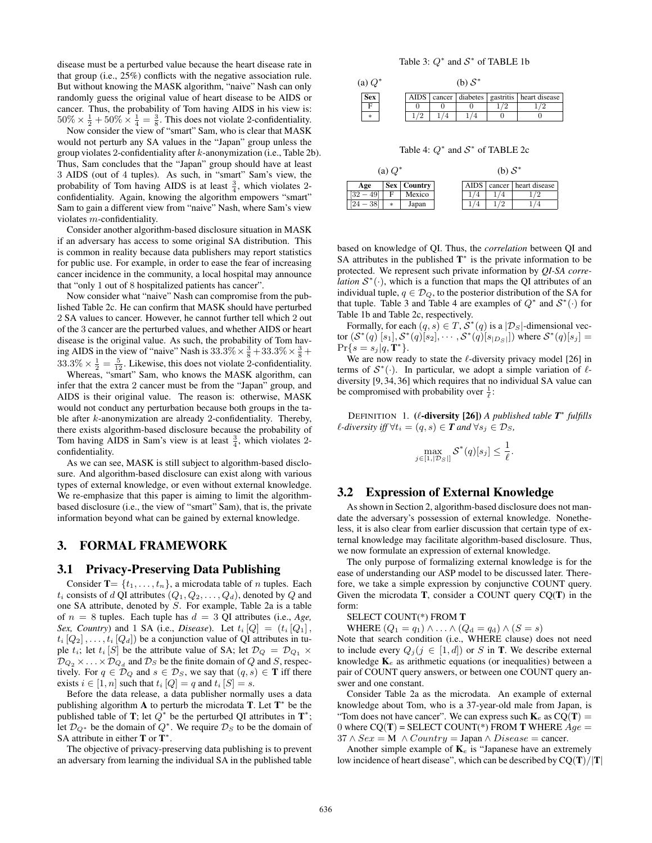disease must be a perturbed value because the heart disease rate in that group (i.e., 25%) conflicts with the negative association rule. But without knowing the MASK algorithm, "naive" Nash can only randomly guess the original value of heart disease to be AIDS or cancer. Thus, the probability of Tom having AIDS in his view is:  $50\% \times \frac{1}{2} + 50\% \times \frac{1}{4} = \frac{3}{8}$ . This does not violate 2-confidentiality.

Now consider the view of "smart" Sam, who is clear that MASK would not perturb any SA values in the "Japan" group unless the group violates 2-confidentiality after k-anonymization (i.e., Table 2b). Thus, Sam concludes that the "Japan" group should have at least 3 AIDS (out of 4 tuples). As such, in "smart" Sam's view, the probability of Tom having AIDS is at least  $\frac{3}{4}$ , which violates 2confidentiality. Again, knowing the algorithm empowers "smart" Sam to gain a different view from "naive" Nash, where Sam's view violates m-confidentiality.

Consider another algorithm-based disclosure situation in MASK if an adversary has access to some original SA distribution. This is common in reality because data publishers may report statistics for public use. For example, in order to ease the fear of increasing cancer incidence in the community, a local hospital may announce that "only 1 out of 8 hospitalized patients has cancer".

Now consider what "naive" Nash can compromise from the published Table 2c. He can confirm that MASK should have perturbed 2 SA values to cancer. However, he cannot further tell which 2 out of the 3 cancer are the perturbed values, and whether AIDS or heart disease is the original value. As such, the probability of Tom having AIDS in the view of "naive" Nash is  $33.3\% \times \frac{3}{8} + 33.3\% \times \frac{3}{8} +$  $33.3\% \times \frac{1}{2} = \frac{5}{12}$ . Likewise, this does not violate 2-confidentiality.

Whereas, "smart" Sam, who knows the MASK algorithm, can infer that the extra 2 cancer must be from the "Japan" group, and AIDS is their original value. The reason is: otherwise, MASK would not conduct any perturbation because both groups in the table after k-anonymization are already 2-confidentiality. Thereby, there exists algorithm-based disclosure because the probability of Tom having AIDS in Sam's view is at least  $\frac{3}{4}$ , which violates 2confidentiality.

As we can see, MASK is still subject to algorithm-based disclosure. And algorithm-based disclosure can exist along with various types of external knowledge, or even without external knowledge. We re-emphasize that this paper is aiming to limit the algorithmbased disclosure (i.e., the view of "smart" Sam), that is, the private information beyond what can be gained by external knowledge.

# 3. FORMAL FRAMEWORK

## 3.1 Privacy-Preserving Data Publishing

Consider  $T = \{t_1, \ldots, t_n\}$ , a microdata table of *n* tuples. Each  $t_i$  consists of d QI attributes  $(Q_1, Q_2, \ldots, Q_d)$ , denoted by Q and one SA attribute, denoted by S. For example, Table 2a is a table of  $n = 8$  tuples. Each tuple has  $d = 3$  QI attributes (i.e., *Age*, *Sex, Country*) and 1 SA (i.e., *Disease*). Let  $t_i |Q| = (t_i |Q_1|)$ ,  $t_i [Q_2], \ldots, t_i [Q_d]$  be a conjunction value of QI attributes in tuple  $t_i$ ; let  $t_i$  [S] be the attribute value of SA; let  $\mathcal{D}_Q = \mathcal{D}_{Q_1} \times$  $\mathcal{D}_{Q_2} \times \ldots \times \mathcal{D}_{Q_d}$  and  $\mathcal{D}_S$  be the finite domain of  $Q$  and  $S$ , respectively. For  $q \in \mathcal{D}_Q$  and  $s \in \mathcal{D}_S$ , we say that  $(q, s) \in \mathbf{T}$  iff there exists  $i \in [1, n]$  such that  $t_i [Q] = q$  and  $t_i [S] = s$ .

Before the data release, a data publisher normally uses a data publishing algorithm A to perturb the microdata  $T$ . Let  $T^*$  be the published table of **T**; let  $Q^*$  be the perturbed QI attributes in **T**<sup>\*</sup>; Let  $\mathcal{D}_{Q^*}$  be the domain of  $Q^*$ . We require  $\mathcal{D}_S$  to be the domain of SA attribute in either  $T$  or  $T^*$ .

The objective of privacy-preserving data publishing is to prevent an adversary from learning the individual SA in the published table

| (a) $Q^*$ |     |  |             |  |  |                                               |
|-----------|-----|--|-------------|--|--|-----------------------------------------------|
|           | Sex |  | <b>AIDS</b> |  |  | cancer   diabetes   gastritis   heart disease |
|           | F   |  |             |  |  |                                               |
|           | *   |  |             |  |  |                                               |

Table 4:  $Q^*$  and  $S^*$  of TABLE 2c

|            | (a) $Q^*$ |                      | (b) $S^*$   |  |                        |  |  |
|------------|-----------|----------------------|-------------|--|------------------------|--|--|
| Age        |           | <b>Sex   Country</b> | <b>AIDS</b> |  | cancer   heart disease |  |  |
|            | F         | Mexico               |             |  |                        |  |  |
| 381<br>۱Q, | *         | Japan                |             |  |                        |  |  |

based on knowledge of QI. Thus, the *correlation* between QI and SA attributes in the published  $T^*$  is the private information to be protected. We represent such private information by *QI-SA correlation*  $S^*(\cdot)$ , which is a function that maps the QI attributes of an individual tuple,  $q \in \mathcal{D}_Q$ , to the posterior distribution of the SA for that tuple. Table 3 and Table 4 are examples of  $Q^*$  and  $S^*(\cdot)$  for Table 1b and Table 2c, respectively.

Formally, for each  $(q, s) \in T$ ,  $S^*(q)$  is a  $|\mathcal{D}_S|$ -dimensional vector  $(\mathcal{S}^*(q) \ [s_1], \mathcal{S}^*(q) [s_2], \cdots, \mathcal{S}^*(q) [s_{|D_S|}])$  where  $\mathcal{S}^*(q) [s_j] =$  $\Pr\{s=s_j|q,\mathbf{T}^*\}.$ 

We are now ready to state the  $\ell$ -diversity privacy model [26] in terms of  $S^*(\cdot)$ . In particular, we adopt a simple variation of  $\ell$ diversity [9, 34, 36] which requires that no individual SA value can be compromised with probability over  $\frac{1}{\ell}$ :

**DEFINITION** 1. (l-**diversity [26]**) *A published table*  $T^*$  *fulfills l*-diversity iff  $\forall t_i$  =  $(q, s)$  ∈ *T* and  $\forall s_j$  ∈  $\mathcal{D}_S$ *,* 

$$
\max_{j\in[1,|\mathcal{D}_S|]}\mathcal{S}^*(q)[s_j]\leq\frac{1}{\ell}.
$$

# 3.2 Expression of External Knowledge

As shown in Section 2, algorithm-based disclosure does not mandate the adversary's possession of external knowledge. Nonetheless, it is also clear from earlier discussion that certain type of external knowledge may facilitate algorithm-based disclosure. Thus, we now formulate an expression of external knowledge.

The only purpose of formalizing external knowledge is for the ease of understanding our ASP model to be discussed later. Therefore, we take a simple expression by conjunctive COUNT query. Given the microdata  $T$ , consider a COUNT query  $CQ(T)$  in the form:

#### SELECT COUNT(\*) FROM T

WHERE  $(Q_1 = q_1) \wedge \ldots \wedge (Q_d = q_d) \wedge (S = s)$ 

Note that search condition (i.e., WHERE clause) does not need to include every  $Q_j$  ( $j \in [1, d]$ ) or S in **T**. We describe external knowledge  $K_e$  as arithmetic equations (or inequalities) between a pair of COUNT query answers, or between one COUNT query answer and one constant.

Consider Table 2a as the microdata. An example of external knowledge about Tom, who is a 37-year-old male from Japan, is "Tom does not have cancer". We can express such  $K_e$  as  $CQ(T) =$ 0 where  $CQ(T)$  = SELECT COUNT(\*) FROM T WHERE  $Age =$  $37 \wedge Sex = M \wedge Country = Japan \wedge Disease = cancer.$ 

Another simple example of  $\mathbf{K}_e$  is "Japanese have an extremely low incidence of heart disease", which can be described by  $CQ(T)/|T|$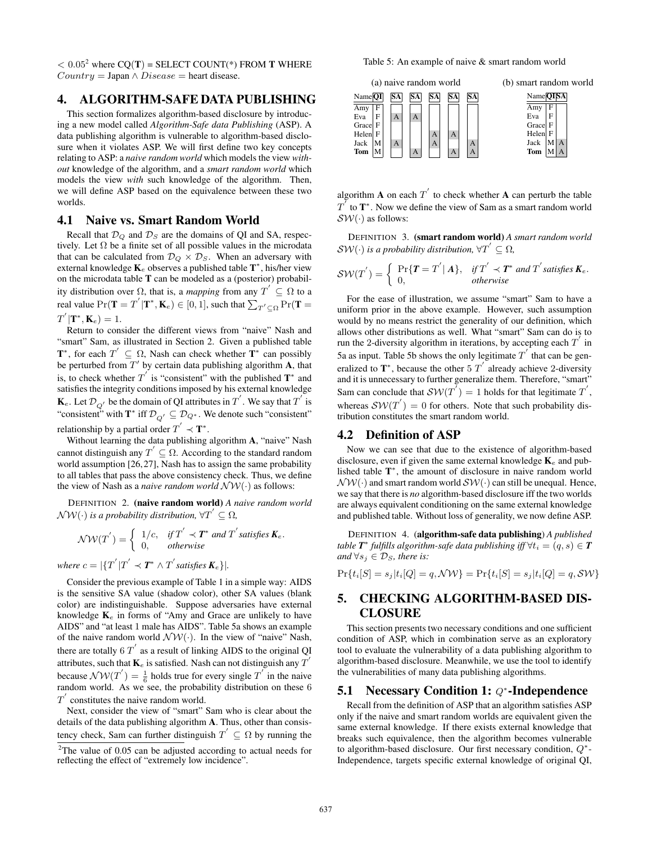$< 0.05<sup>2</sup>$  where CQ(T) = SELECT COUNT(\*) FROM T WHERE  $Country = Japan \land Disease = heart disease.$ 

# 4. ALGORITHM-SAFE DATA PUBLISHING

This section formalizes algorithm-based disclosure by introducing a new model called *Algorithm-Safe data Publishing* (ASP). A data publishing algorithm is vulnerable to algorithm-based disclosure when it violates ASP. We will first define two key concepts relating to ASP: a *naive random world* which models the view *without* knowledge of the algorithm, and a *smart random world* which models the view *with* such knowledge of the algorithm. Then, we will define ASP based on the equivalence between these two worlds.

## 4.1 Naive vs. Smart Random World

Recall that  $\mathcal{D}_Q$  and  $\mathcal{D}_S$  are the domains of QI and SA, respectively. Let  $\Omega$  be a finite set of all possible values in the microdata that can be calculated from  $\mathcal{D}_Q \times \mathcal{D}_S$ . When an adversary with external knowledge  $\mathbf{K}_e$  observes a published table  $\mathbf{T}^*$ , his/her view on the microdata table T can be modeled as a (posterior) probability distribution over  $\Omega$ , that is, a *mapping* from any  $T' \subseteq \Omega$  to a real value  $Pr(\mathbf{T} = T^{'}|\mathbf{T}^*, \mathbf{K}_e) \in [0, 1],$  such that  $\sum_{T^{'} \subseteq \Omega} Pr(\mathbf{T} =$  $T^{'}|\mathbf{T}^*,\mathbf{K}_e)=1.$ 

Return to consider the different views from "naive" Nash and "smart" Sam, as illustrated in Section 2. Given a published table  $\mathbf{T}^*$ , for each  $T' \subseteq \Omega$ , Nash can check whether  $\mathbf{T}^*$  can possibly be perturbed from  $T'$  by certain data publishing algorithm  $A$ , that is, to check whether  $T^{'}$  is "consistent" with the published  $T^*$  and satisfies the integrity conditions imposed by his external knowledge  $\mathbf{K}_e$ . Let  $\mathcal{D}_{Q'}$  be the domain of QI attributes in  $T^{'}$ . We say that  $T^{'}$  is "consistent" with  $\mathbf{T}^*$  iff  $\mathcal{D}_{Q'} \subseteq \mathcal{D}_{Q^*}$ . We denote such "consistent" relationship by a partial order  $T^{'} \prec T^*$ .

Without learning the data publishing algorithm A, "naive" Nash cannot distinguish any  $T' \subseteq \Omega$ . According to the standard random world assumption [26, 27], Nash has to assign the same probability to all tables that pass the above consistency check. Thus, we define the view of Nash as a *naive random world*  $\mathcal{NW}(\cdot)$  as follows:

DEFINITION 2. (naive random world) *A naive random world*  $\mathcal{NW}(\cdot)$  is a probability distribution,  $\forall T^{'} \subseteq \Omega$ ,

$$
\mathcal{NW}(T^{'}) = \left\{ \begin{array}{ll} 1/c, & \text{if } T^{'} \prec T^* \text{ and } T^{'} \text{ satisfies } \mathbf{K}_e. \\ 0, & \text{otherwise} \end{array} \right.
$$

where  $c = |\{T^{'}|T^{'} \prec T^* \wedge T^{'}$  satisfies  $K_e\}|$ .

Consider the previous example of Table 1 in a simple way: AIDS is the sensitive SA value (shadow color), other SA values (blank color) are indistinguishable. Suppose adversaries have external knowledge  $K_e$  in forms of "Amy and Grace are unlikely to have AIDS" and "at least 1 male has AIDS". Table 5a shows an example of the naive random world  $\mathcal{NW}(\cdot)$ . In the view of "naive" Nash, there are totally 6  $T'$  as a result of linking AIDS to the original QI attributes, such that  $\mathbf{K}_e$  is satisfied. Nash can not distinguish any  $T^{'}$ because  $\mathcal{NW}(T^{'}) = \frac{1}{6}$  holds true for every single  $T^{'}$  in the naive random world. As we see, the probability distribution on these 6  $T^{'}$  constitutes the naive random world.

Next, consider the view of "smart" Sam who is clear about the details of the data publishing algorithm A. Thus, other than consistency check, Sam can further distinguish  $T^{'} \subseteq \Omega$  by running the

Table 5: An example of naive & smart random world



algorithm **A** on each  $T'$  to check whether **A** can perturb the table  $T^{T}$  to  $T^{*}$ . Now we define the view of Sam as a smart random world  $SW(\cdot)$  as follows:

DEFINITION 3. (smart random world) *A smart random world*  $\mathcal{SW}(\cdot)$  is a probability distribution,  $\forall T^{'} \subseteq \Omega$ ,

$$
SW(T^{'}) = \begin{cases} \Pr\{\boldsymbol{T} = T^{'} | \boldsymbol{A}\}, & \text{if } T^{'} \prec \boldsymbol{T}^* \text{ and } T^{'} \text{ satisfies } \boldsymbol{K}_e. \\ 0, & \text{otherwise} \end{cases}
$$

For the ease of illustration, we assume "smart" Sam to have a uniform prior in the above example. However, such assumption would by no means restrict the generality of our definition, which allows other distributions as well. What "smart" Sam can do is to run the 2-diversity algorithm in iterations, by accepting each  $T^{'}$  in 5a as input. Table 5b shows the only legitimate  $T^{'}$  that can be generalized to  $\mathbf{T}^*$ , because the other 5  $T'$  already achieve 2-diversity and it is unnecessary to further generalize them. Therefore, "smart" Sam can conclude that  $\mathcal{SW}(T^{\bar{}}) = 1$  holds for that legitimate  $T^{'}$ , whereas  $\mathcal{SW}(T') = 0$  for others. Note that such probability distribution constitutes the smart random world.

## 4.2 Definition of ASP

Now we can see that due to the existence of algorithm-based disclosure, even if given the same external knowledge  $K_e$  and published table T<sup>\*</sup>, the amount of disclosure in naive random world  $\mathcal{NW}(\cdot)$  and smart random world  $\mathcal{SW}(\cdot)$  can still be unequal. Hence, we say that there is *no* algorithm-based disclosure iff the two worlds are always equivalent conditioning on the same external knowledge and published table. Without loss of generality, we now define ASP.

DEFINITION 4. (algorithm-safe data publishing) *A published*  $t$ able  $\textit{\textbf{T}}^{*}$  fulfills algorithm-safe data publishing iff  $\forall t_{i}=(q,s)\in\textit{\textbf{T}}$ *and*  $\forall s_j \in \mathcal{D}_S$ *, there is:* 

 $Pr{t_i[S] = s_j | t_i[Q] = q, \mathcal{NW}} = Pr{t_i[S] = s_j | t_i[Q] = q, \mathcal{SW}}$ 

# 5. CHECKING ALGORITHM-BASED DIS-CLOSURE

This section presents two necessary conditions and one sufficient condition of ASP, which in combination serve as an exploratory tool to evaluate the vulnerability of a data publishing algorithm to algorithm-based disclosure. Meanwhile, we use the tool to identify the vulnerabilities of many data publishing algorithms.

# 5.1 Necessary Condition 1: *Q*<sup>∗</sup>-Independence

Recall from the definition of ASP that an algorithm satisfies ASP only if the naive and smart random worlds are equivalent given the same external knowledge. If there exists external knowledge that breaks such equivalence, then the algorithm becomes vulnerable to algorithm-based disclosure. Our first necessary condition,  $Q^*$ -Independence, targets specific external knowledge of original QI,

 $2$ The value of 0.05 can be adjusted according to actual needs for reflecting the effect of "extremely low incidence".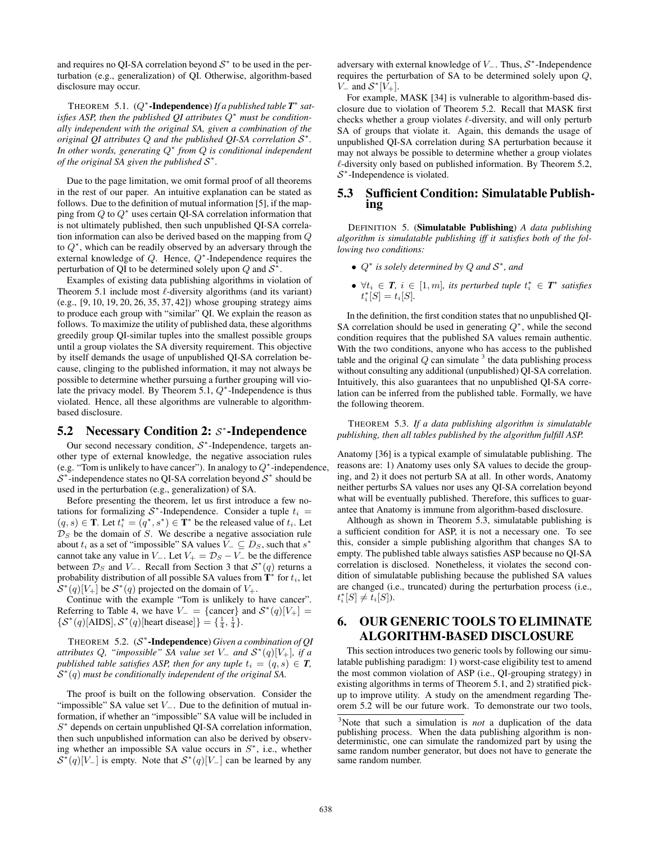and requires no QI-SA correlation beyond  $S^*$  to be used in the perturbation (e.g., generalization) of QI. Otherwise, algorithm-based disclosure may occur.

THEOREM 5.1. (Q<sup>\*</sup>-Independence) *If a published table* **T**<sup>\*</sup> sat*isfies ASP, then the published QI attributes* Q <sup>∗</sup> *must be conditionally independent with the original SA, given a combination of the original QI attributes* Q *and the published QI-SA correlation* S ∗ *. In other words, generating* Q ∗ *from* Q *is conditional independent of the original SA given the published*  $S^*$ .

Due to the page limitation, we omit formal proof of all theorems in the rest of our paper. An intuitive explanation can be stated as follows. Due to the definition of mutual information [5], if the mapping from  $Q$  to  $Q^*$  uses certain QI-SA correlation information that is not ultimately published, then such unpublished QI-SA correlation information can also be derived based on the mapping from Q to  $Q^*$ , which can be readily observed by an adversary through the external knowledge of  $Q$ . Hence,  $Q^*$ -Independence requires the perturbation of QI to be determined solely upon Q and  $S^*$ .

Examples of existing data publishing algorithms in violation of Theorem 5.1 include most  $\ell$ -diversity algorithms (and its variant) (e.g., [9, 10, 19, 20, 26, 35, 37, 42]) whose grouping strategy aims to produce each group with "similar" QI. We explain the reason as follows. To maximize the utility of published data, these algorithms greedily group QI-similar tuples into the smallest possible groups until a group violates the SA diversity requirement. This objective by itself demands the usage of unpublished QI-SA correlation because, clinging to the published information, it may not always be possible to determine whether pursuing a further grouping will violate the privacy model. By Theorem 5.1,  $Q^*$ -Independence is thus violated. Hence, all these algorithms are vulnerable to algorithmbased disclosure.

# 5.2 Necessary Condition 2:  $S^*$ -Independence

Our second necessary condition,  $S^*$ -Independence, targets another type of external knowledge, the negative association rules (e.g. "Tom is unlikely to have cancer"). In analogy to  $Q^*$ -independence,  $S^*$ -independence states no QI-SA correlation beyond  $S^*$  should be used in the perturbation (e.g., generalization) of SA.

Before presenting the theorem, let us first introduce a few notations for formalizing  $S^*$ -Independence. Consider a tuple  $t_i =$  $(q, s) \in \mathbf{T}$ . Let  $t_i^* = (q^*, s^*) \in \mathbf{T}^*$  be the released value of  $t_i$ . Let  $\mathcal{D}_S$  be the domain of S. We describe a negative association rule about  $t_i$  as a set of "impossible" SA values  $\bar{V}_- \subseteq D_S$ , such that  $s^*$ cannot take any value in  $V_$ . Let  $V_+ = \mathcal{D}_S - V_-$  be the difference between  $\mathcal{D}_S$  and  $V_-$ . Recall from Section 3 that  $\mathcal{S}^*(q)$  returns a probability distribution of all possible SA values from  $\overline{\mathbf{T}}^*$  for  $t_i$ , let  $S^*(q)[V_+]$  be  $S^*(q)$  projected on the domain of  $V_+$ .

Continue with the example "Tom is unlikely to have cancer". Referring to Table 4, we have  $V = \{\text{cancer}\}\$  and  $S^*(q)[V] =$  $\{\mathcal{S}^*(q)[\text{AIDS}], \mathcal{S}^*(q)[\text{heart disease}]\} = \{\frac{1}{4}, \frac{1}{4}\}.$ 

THEOREM 5.2. (S ∗ -Independence) *Given a combination of QI*  $a$ *ttributes*  $Q$ , "*impossible*"  $SA$  *value set*  $V$ <sub>-</sub> and  $S^*(q)[V_+]$ , *if a published table satisfies ASP, then for any tuple*  $t_i = (q, s) \in T$ ,  $S^*(q)$  must be conditionally independent of the original SA.

The proof is built on the following observation. Consider the "impossible" SA value set  $V_$ . Due to the definition of mutual information, if whether an "impossible" SA value will be included in S<sup>\*</sup> depends on certain unpublished QI-SA correlation information, then such unpublished information can also be derived by observing whether an impossible SA value occurs in  $S^*$ , i.e., whether  $S^*(q)[V_-]$  is empty. Note that  $S^*(q)[V_-]$  can be learned by any

adversary with external knowledge of  $V_$ . Thus,  $S^*$ -Independence requires the perturbation of SA to be determined solely upon Q,  $V_-$  and  $S^*[\tilde{V}_+]$ .

For example, MASK [34] is vulnerable to algorithm-based disclosure due to violation of Theorem 5.2. Recall that MASK first checks whether a group violates  $\ell$ -diversity, and will only perturb SA of groups that violate it. Again, this demands the usage of unpublished QI-SA correlation during SA perturbation because it may not always be possible to determine whether a group violates  $\ell$ -diversity only based on published information. By Theorem 5.2,  $S^*$ -Independence is violated.

# 5.3 Sufficient Condition: Simulatable Publishing

DEFINITION 5. (Simulatable Publishing) *A data publishing algorithm is simulatable publishing iff it satisfies both of the following two conditions:*

- Q ∗ *is solely determined by* Q *and* S ∗ *, and*
- $\forall t_i \in T, i \in [1, m]$ , its perturbed tuple  $t_i^* \in T^*$  satisfies  $t_i^*[S] = t_i[S].$

In the definition, the first condition states that no unpublished QI-SA correlation should be used in generating  $Q^*$ , while the second condition requires that the published SA values remain authentic. With the two conditions, anyone who has access to the published table and the original  $Q$  can simulate  $3$  the data publishing process without consulting any additional (unpublished) QI-SA correlation. Intuitively, this also guarantees that no unpublished QI-SA correlation can be inferred from the published table. Formally, we have the following theorem.

THEOREM 5.3. *If a data publishing algorithm is simulatable publishing, then all tables published by the algorithm fulfill ASP.*

Anatomy [36] is a typical example of simulatable publishing. The reasons are: 1) Anatomy uses only SA values to decide the grouping, and 2) it does not perturb SA at all. In other words, Anatomy neither perturbs SA values nor uses any QI-SA correlation beyond what will be eventually published. Therefore, this suffices to guarantee that Anatomy is immune from algorithm-based disclosure.

Although as shown in Theorem 5.3, simulatable publishing is a sufficient condition for ASP, it is not a necessary one. To see this, consider a simple publishing algorithm that changes SA to empty. The published table always satisfies ASP because no QI-SA correlation is disclosed. Nonetheless, it violates the second condition of simulatable publishing because the published SA values are changed (i.e., truncated) during the perturbation process (i.e.,  $t_i^*[S] \neq t_i[S]$ ).

# 6. OUR GENERIC TOOLS TO ELIMINATE ALGORITHM-BASED DISCLOSURE

This section introduces two generic tools by following our simulatable publishing paradigm: 1) worst-case eligibility test to amend the most common violation of ASP (i.e., QI-grouping strategy) in existing algorithms in terms of Theorem 5.1, and 2) stratified pickup to improve utility. A study on the amendment regarding Theorem 5.2 will be our future work. To demonstrate our two tools,

<sup>3</sup>Note that such a simulation is *not* a duplication of the data publishing process. When the data publishing algorithm is nondeterministic, one can simulate the randomized part by using the same random number generator, but does not have to generate the same random number.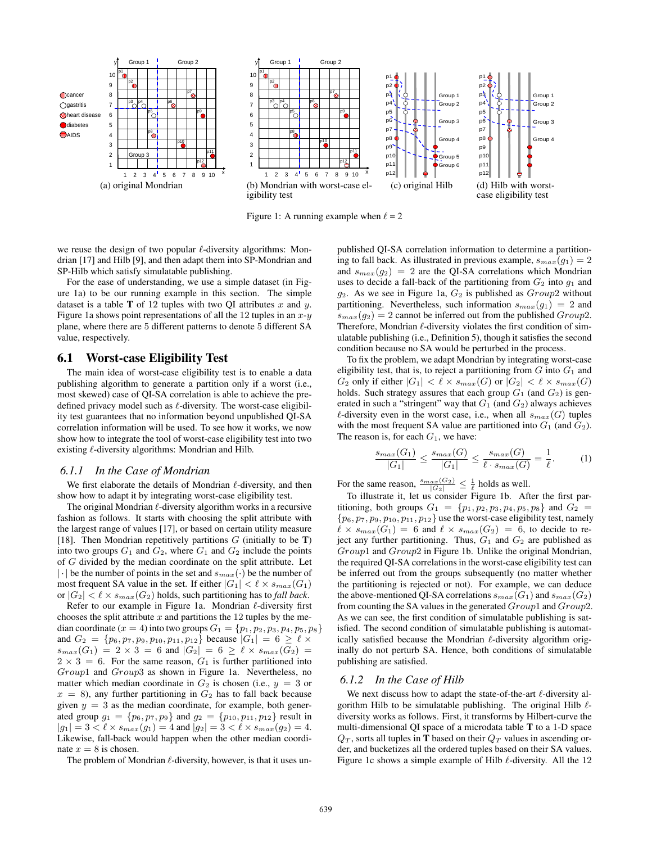

Figure 1: A running example when  $\ell = 2$ 



we reuse the design of two popular  $\ell$ -diversity algorithms: Mondrian [17] and Hilb [9], and then adapt them into SP-Mondrian and SP-Hilb which satisfy simulatable publishing.

For the ease of understanding, we use a simple dataset (in Figure 1a) to be our running example in this section. The simple dataset is a table **T** of 12 tuples with two QI attributes  $x$  and  $y$ . Figure 1a shows point representations of all the 12 tuples in an  $x-y$ plane, where there are 5 different patterns to denote 5 different SA value, respectively.

# 6.1 Worst-case Eligibility Test

The main idea of worst-case eligibility test is to enable a data publishing algorithm to generate a partition only if a worst (i.e., most skewed) case of QI-SA correlation is able to achieve the predefined privacy model such as  $\ell$ -diversity. The worst-case eligibility test guarantees that no information beyond unpublished QI-SA correlation information will be used. To see how it works, we now show how to integrate the tool of worst-case eligibility test into two existing  $\ell$ -diversity algorithms: Mondrian and Hilb.

#### *6.1.1 In the Case of Mondrian*

We first elaborate the details of Mondrian  $\ell$ -diversity, and then show how to adapt it by integrating worst-case eligibility test.

The original Mondrian  $\ell$ -diversity algorithm works in a recursive fashion as follows. It starts with choosing the split attribute with the largest range of values [17], or based on certain utility measure [18]. Then Mondrian repetitively partitions  $G$  (initially to be T) into two groups  $G_1$  and  $G_2$ , where  $G_1$  and  $G_2$  include the points of G divided by the median coordinate on the split attribute. Let  $|\cdot|$  be the number of points in the set and  $s_{max}(\cdot)$  be the number of most frequent SA value in the set. If either  $|G_1| < \ell \times s_{max}(G_1)$ or  $|G_2| < \ell \times s_{max}(G_2)$  holds, such partitioning has to *fall back*.

Refer to our example in Figure 1a. Mondrian  $\ell$ -diversity first chooses the split attribute  $x$  and partitions the 12 tuples by the median coordinate ( $x = 4$ ) into two groups  $G_1 = \{p_1, p_2, p_3, p_4, p_5, p_8\}$ and  $G_2 = \{p_6, p_7, p_9, p_{10}, p_{11}, p_{12}\}$  because  $|G_1| = 6 \ge \ell \times$  $s_{max}(G_1) = 2 \times 3 = 6$  and  $|G_2| = 6 \ge \ell \times s_{max}(G_2) =$  $2 \times 3 = 6$ . For the same reason,  $G_1$  is further partitioned into Group1 and Group3 as shown in Figure 1a. Nevertheless, no matter which median coordinate in  $G_2$  is chosen (i.e.,  $y = 3$  or  $x = 8$ ), any further partitioning in  $G_2$  has to fall back because given  $y = 3$  as the median coordinate, for example, both generated group  $g_1 = \{p_6, p_7, p_9\}$  and  $g_2 = \{p_{10}, p_{11}, p_{12}\}$  result in  $|g_1| = 3 < \ell \times s_{max}(g_1) = 4$  and  $|g_2| = 3 < \ell \times s_{max}(g_2) = 4$ . Likewise, fall-back would happen when the other median coordinate  $x = 8$  is chosen.

The problem of Mondrian  $\ell$ -diversity, however, is that it uses un-

published QI-SA correlation information to determine a partitioning to fall back. As illustrated in previous example,  $s_{max}(g_1) = 2$ and  $s_{max}(q_2) = 2$  are the QI-SA correlations which Mondrian uses to decide a fall-back of the partitioning from  $G_2$  into  $g_1$  and  $g_2$ . As we see in Figure 1a,  $G_2$  is published as  $Group2$  without partitioning. Nevertheless, such information  $s_{max}(g_1) = 2$  and  $s_{max}(g_2) = 2$  cannot be inferred out from the published  $Group2$ . Therefore, Mondrian  $\ell$ -diversity violates the first condition of simulatable publishing (i.e., Definition 5), though it satisfies the second condition because no SA would be perturbed in the process.

To fix the problem, we adapt Mondrian by integrating worst-case eligibility test, that is, to reject a partitioning from  $G$  into  $G_1$  and  $G_2$  only if either  $|G_1| < \ell \times s_{max}(G)$  or  $|G_2| < \ell \times s_{max}(G)$ holds. Such strategy assures that each group  $G_1$  (and  $G_2$ ) is generated in such a "stringent" way that  $G_1$  (and  $G_2$ ) always achieves  $\ell$ -diversity even in the worst case, i.e., when all  $s_{max}(G)$  tuples with the most frequent SA value are partitioned into  $G_1$  (and  $G_2$ ). The reason is, for each  $G_1$ , we have:

$$
\frac{s_{max}(G_1)}{|G_1|} \le \frac{s_{max}(G)}{|G_1|} \le \frac{s_{max}(G)}{\ell \cdot s_{max}(G)} = \frac{1}{\ell}.
$$
 (1)

For the same reason,  $\frac{s_{max}(G_2)}{|G_2|} \leq \frac{1}{\ell}$  holds as well.

To illustrate it, let us consider Figure 1b. After the first partitioning, both groups  $G_1 = \{p_1, p_2, p_3, p_4, p_5, p_8\}$  and  $G_2 =$  $\{p_6, p_7, p_9, p_{10}, p_{11}, p_{12}\}$  use the worst-case eligibility test, namely  $\ell \times s_{max}(G_1) = 6$  and  $\ell \times s_{max}(G_2) = 6$ , to decide to reject any further partitioning. Thus,  $G_1$  and  $G_2$  are published as Group1 and Group2 in Figure 1b. Unlike the original Mondrian, the required QI-SA correlations in the worst-case eligibility test can be inferred out from the groups subsequently (no matter whether the partitioning is rejected or not). For example, we can deduce the above-mentioned QI-SA correlations  $s_{max}(G_1)$  and  $s_{max}(G_2)$ from counting the SA values in the generated  $Group1$  and  $Group2$ . As we can see, the first condition of simulatable publishing is satisfied. The second condition of simulatable publishing is automatically satisfied because the Mondrian  $\ell$ -diversity algorithm originally do not perturb SA. Hence, both conditions of simulatable publishing are satisfied.

#### *6.1.2 In the Case of Hilb*

We next discuss how to adapt the state-of-the-art  $\ell$ -diversity algorithm Hilb to be simulatable publishing. The original Hilb  $\ell$ diversity works as follows. First, it transforms by Hilbert-curve the multi-dimensional QI space of a microdata table T to a 1-D space  $Q_T$ , sorts all tuples in T based on their  $Q_T$  values in ascending order, and bucketizes all the ordered tuples based on their SA values. Figure 1c shows a simple example of Hilb  $\ell$ -diversity. All the 12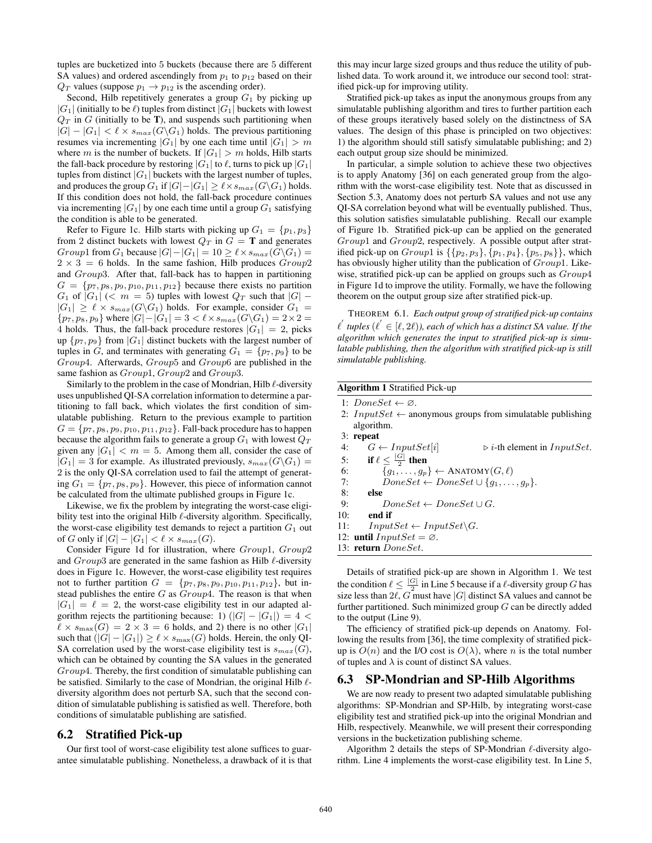tuples are bucketized into 5 buckets (because there are 5 different SA values) and ordered ascendingly from  $p_1$  to  $p_{12}$  based on their  $Q_T$  values (suppose  $p_1 \rightarrow p_{12}$  is the ascending order).

Second, Hilb repetitively generates a group  $G_1$  by picking up  $|G_1|$  (initially to be  $\ell$ ) tuples from distinct  $|G_1|$  buckets with lowest  $Q_T$  in G (initially to be T), and suspends such partitioning when  $|G| - |G_1| < \ell \times s_{max}(G\backslash G_1)$  holds. The previous partitioning resumes via incrementing  $|G_1|$  by one each time until  $|G_1| > m$ where m is the number of buckets. If  $|G_1| > m$  holds, Hilb starts the fall-back procedure by restoring  $|G_1|$  to  $\ell$ , turns to pick up  $|G_1|$ tuples from distinct  $|G_1|$  buckets with the largest number of tuples, and produces the group  $G_1$  if  $|G|-|G_1| \geq \ell \times s_{max}(G\backslash G_1)$  holds. If this condition does not hold, the fall-back procedure continues via incrementing  $|G_1|$  by one each time until a group  $G_1$  satisfying the condition is able to be generated.

Refer to Figure 1c. Hilb starts with picking up  $G_1 = \{p_1, p_3\}$ from 2 distinct buckets with lowest  $Q_T$  in  $G = T$  and generates Group1 from G<sub>1</sub> because  $|G|-|G_1| = 10 \ge \ell \times s_{max}(G\backslash G_1) =$  $2 \times 3 = 6$  holds. In the same fashion, Hilb produces  $Group2$ and Group3. After that, fall-back has to happen in partitioning  $G = \{p_7, p_8, p_9, p_{10}, p_{11}, p_{12}\}\$  because there exists no partition  $G_1$  of  $|G_1|$  (<  $m = 5$ ) tuples with lowest  $Q_T$  such that  $|G|$  –  $|G_1| \geq \ell \times s_{max}(G\backslash G_1)$  holds. For example, consider  $G_1 =$  $\{p_7, p_8, p_9\}$  where  $|G| - |G_1| = 3 < \ell \times s_{max}(G\backslash G_1) = 2 \times 2 =$ 4 holds. Thus, the fall-back procedure restores  $|G_1| = 2$ , picks up  $\{p_7, p_9\}$  from  $|G_1|$  distinct buckets with the largest number of tuples in G, and terminates with generating  $G_1 = \{p_7, p_9\}$  to be Group4. Afterwards, Group5 and Group6 are published in the same fashion as  $Group1, Group2$  and  $Group3.$ 

Similarly to the problem in the case of Mondrian, Hilb  $\ell$ -diversity uses unpublished QI-SA correlation information to determine a partitioning to fall back, which violates the first condition of simulatable publishing. Return to the previous example to partition  $G = \{p_7, p_8, p_9, p_{10}, p_{11}, p_{12}\}.$  Fall-back procedure has to happen because the algorithm fails to generate a group  $G_1$  with lowest  $Q_T$ given any  $|G_1| < m = 5$ . Among them all, consider the case of  $|G_1| = 3$  for example. As illustrated previously,  $s_{max}(G\backslash G_1) =$ 2 is the only QI-SA correlation used to fail the attempt of generating  $G_1 = \{p_7, p_8, p_9\}$ . However, this piece of information cannot be calculated from the ultimate published groups in Figure 1c.

Likewise, we fix the problem by integrating the worst-case eligibility test into the original Hilb  $\ell$ -diversity algorithm. Specifically, the worst-case eligibility test demands to reject a partition  $G_1$  out of G only if  $|G| - |G_1| < \ell \times s_{max}(G)$ .

Consider Figure 1d for illustration, where Group1, Group2 and  $Group3$  are generated in the same fashion as Hilb  $\ell$ -diversity does in Figure 1c. However, the worst-case eligibility test requires not to further partition  $G = \{p_7, p_8, p_9, p_{10}, p_{11}, p_{12}\}\,$  but instead publishes the entire  $G$  as  $Group4$ . The reason is that when  $|G_1| = \ell = 2$ , the worst-case eligibility test in our adapted algorithm rejects the partitioning because: 1)  $(|G| - |G_1|) = 4$  <  $\ell \times s_{\text{max}}(G) = 2 \times 3 = 6$  holds, and 2) there is no other  $|G_1|$ such that  $(|G| - |G_1|) \ge \ell \times s_{\text{max}}(G)$  holds. Herein, the only QI-SA correlation used by the worst-case eligibility test is  $s_{max}(G)$ , which can be obtained by counting the SA values in the generated Group4. Thereby, the first condition of simulatable publishing can be satisfied. Similarly to the case of Mondrian, the original Hilb  $\ell$ diversity algorithm does not perturb SA, such that the second condition of simulatable publishing is satisfied as well. Therefore, both conditions of simulatable publishing are satisfied.

# 6.2 Stratified Pick-up

Our first tool of worst-case eligibility test alone suffices to guarantee simulatable publishing. Nonetheless, a drawback of it is that this may incur large sized groups and thus reduce the utility of published data. To work around it, we introduce our second tool: stratified pick-up for improving utility.

Stratified pick-up takes as input the anonymous groups from any simulatable publishing algorithm and tires to further partition each of these groups iteratively based solely on the distinctness of SA values. The design of this phase is principled on two objectives: 1) the algorithm should still satisfy simulatable publishing; and 2) each output group size should be minimized.

In particular, a simple solution to achieve these two objectives is to apply Anatomy [36] on each generated group from the algorithm with the worst-case eligibility test. Note that as discussed in Section 5.3, Anatomy does not perturb SA values and not use any QI-SA correlation beyond what will be eventually published. Thus, this solution satisfies simulatable publishing. Recall our example of Figure 1b. Stratified pick-up can be applied on the generated Group1 and Group2, respectively. A possible output after stratified pick-up on  $Group1$  is  $\{\{p_2, p_3\}, \{p_1, p_4\}, \{p_5, p_8\}\}\,$ , which has obviously higher utility than the publication of  $Group1$ . Likewise, stratified pick-up can be applied on groups such as  $Group4$ in Figure 1d to improve the utility. Formally, we have the following theorem on the output group size after stratified pick-up.

THEOREM 6.1. *Each output group of stratified pick-up contains*  $\ell^{'}$  tuples  $(\ell^{'} \in [\ell, 2\ell))$ , each of which has a distinct SA value. If the *algorithm which generates the input to stratified pick-up is simulatable publishing, then the algorithm with stratified pick-up is still simulatable publishing.*

| <b>Algorithm 1 Stratified Pick-up</b> |                                                                   |  |  |  |  |  |  |  |  |
|---------------------------------------|-------------------------------------------------------------------|--|--|--|--|--|--|--|--|
|                                       | 1: $DoneSet \leftarrow \emptyset$ .                               |  |  |  |  |  |  |  |  |
|                                       | 2: <i>InputSet</i> $\leftarrow$ anonymous groups from simulatable |  |  |  |  |  |  |  |  |

publishing algorithm.

3: **repeat**<br>4:  $G \leftarrow InputSet[i]$ 4:  $G \leftarrow InputSet[i] \qquad \Rightarrow i\text{-th element in } InputSet.$ 5: if  $\ell \leq \frac{|G|}{2}$  then 6:  $\{g_1, \ldots, g_p\} \leftarrow \text{ANATOMY}(G, \ell)$ 

7:  $DoneSet \leftarrow DoneSet \cup \{g_1, \ldots, g_p\}.$ 

- $8:$  else<br>9:
- $DoneSet \leftarrow DoneSet \cup G.$ 10: end if
- 
- 11:  $InputSet \leftarrow InputSet \backslash G$ .
- 12: until  $InputSet = \emptyset$ .
- 13: return DoneSet.

Details of stratified pick-up are shown in Algorithm 1. We test the condition  $\ell \leq \frac{|G|}{r^2}$  in Line 5 because if a  $\ell$ -diversity group G has size less than  $2\ell$ , G must have |G| distinct SA values and cannot be further partitioned. Such minimized group  $G$  can be directly added to the output (Line 9).

The efficiency of stratified pick-up depends on Anatomy. Following the results from [36], the time complexity of stratified pickup is  $O(n)$  and the I/O cost is  $O(\lambda)$ , where n is the total number of tuples and  $\lambda$  is count of distinct SA values.

# 6.3 SP-Mondrian and SP-Hilb Algorithms

We are now ready to present two adapted simulatable publishing algorithms: SP-Mondrian and SP-Hilb, by integrating worst-case eligibility test and stratified pick-up into the original Mondrian and Hilb, respectively. Meanwhile, we will present their corresponding versions in the bucketization publishing scheme.

Algorithm 2 details the steps of SP-Mondrian  $\ell$ -diversity algorithm. Line 4 implements the worst-case eligibility test. In Line 5,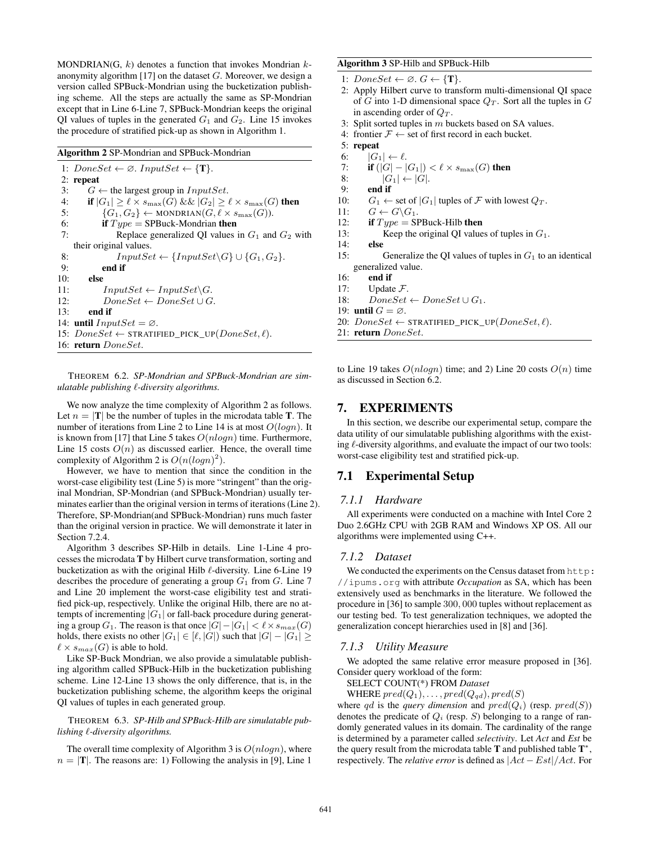MONDRIAN(G,  $k$ ) denotes a function that invokes Mondrian  $k$ anonymity algorithm [17] on the dataset  $G$ . Moreover, we design a version called SPBuck-Mondrian using the bucketization publishing scheme. All the steps are actually the same as SP-Mondrian except that in Line 6-Line 7, SPBuck-Mondrian keeps the original QI values of tuples in the generated  $G_1$  and  $G_2$ . Line 15 invokes the procedure of stratified pick-up as shown in Algorithm 1.

Algorithm 2 SP-Mondrian and SPBuck-Mondrian

1:  $DoneSet \leftarrow \emptyset$ . InputSet  $\leftarrow \{\mathbf{T}\}.$ 2: repeat 3:  $G \leftarrow$  the largest group in  $InputSet$ . 4: if  $|G_1| \geq \ell \times s_{\max}(G)$  &&  $|G_2| \geq \ell \times s_{\max}(G)$  then 5:  $\{G_1, G_2\} \leftarrow \text{MONDRIAN}(G, \ell \times s_{\text{max}}(G)).$ 6: if  $Type = \text{SPBuck-Mondrian}$  then 7: Replace generalized QI values in  $G_1$  and  $G_2$  with their original values. 8:  $InputSet \leftarrow \{InputSet \backslash G\} \cup \{G_1, G_2\}.$ 9: end if 10: else 11:  $InputSet \leftarrow InputSet \backslash G$ . 12:  $DoneSet \leftarrow DoneSet \cup G$ . 13: end if 14: **until**  $InputSet = \emptyset$ . 15:  $DoneSet \leftarrow \text{STRATIFIED_PICK_UP}(DoneSet, \ell).$ 16: return DoneSet.

THEOREM 6.2. *SP-Mondrian and SPBuck-Mondrian are simulatable publishing* `*-diversity algorithms.*

We now analyze the time complexity of Algorithm 2 as follows. Let  $n = |T|$  be the number of tuples in the microdata table T. The number of iterations from Line 2 to Line 14 is at most  $O(logn)$ . It is known from [17] that Line 5 takes  $O(n \log n)$  time. Furthermore, Line 15 costs  $O(n)$  as discussed earlier. Hence, the overall time complexity of Algorithm 2 is  $O(n(logn)^2)$ .

However, we have to mention that since the condition in the worst-case eligibility test (Line 5) is more "stringent" than the original Mondrian, SP-Mondrian (and SPBuck-Mondrian) usually terminates earlier than the original version in terms of iterations (Line 2). Therefore, SP-Mondrian(and SPBuck-Mondrian) runs much faster than the original version in practice. We will demonstrate it later in Section 7.2.4.

Algorithm 3 describes SP-Hilb in details. Line 1-Line 4 processes the microdata T by Hilbert curve transformation, sorting and bucketization as with the original Hilb  $\ell$ -diversity. Line 6-Line 19 describes the procedure of generating a group  $G_1$  from G. Line 7 and Line 20 implement the worst-case eligibility test and stratified pick-up, respectively. Unlike the original Hilb, there are no attempts of incrementing  $|G_1|$  or fall-back procedure during generating a group  $G_1$ . The reason is that once  $|G| - |G_1| < \ell \times s_{max}(G)$ holds, there exists no other  $|G_1| \in [\ell, |G|]$  such that  $|G| - |G_1| \ge$  $\ell \times s_{max}(G)$  is able to hold.

Like SP-Buck Mondrian, we also provide a simulatable publishing algorithm called SPBuck-Hilb in the bucketization publishing scheme. Line 12-Line 13 shows the only difference, that is, in the bucketization publishing scheme, the algorithm keeps the original QI values of tuples in each generated group.

THEOREM 6.3. *SP-Hilb and SPBuck-Hilb are simulatable publishing* `*-diversity algorithms.*

The overall time complexity of Algorithm 3 is  $O(n \log n)$ , where  $n = |T|$ . The reasons are: 1) Following the analysis in [9], Line 1

#### Algorithm 3 SP-Hilb and SPBuck-Hilb

- 1:  $DoneSet \leftarrow \emptyset$ .  $G \leftarrow \{T\}$ .
- 2: Apply Hilbert curve to transform multi-dimensional QI space of G into 1-D dimensional space  $Q_T$ . Sort all the tuples in G in ascending order of  $Q_T$ .
- 3: Split sorted tuples in  $m$  buckets based on SA values.
- 4: frontier  $\mathcal{F} \leftarrow$  set of first record in each bucket.
- 5: repeat
- 6:  $|G_1| \leftarrow \ell$ .
- 7: **if**  $(|G| |G_1|) < \ell \times s_{\max}(G)$  then
- 8:  $|G_1| \leftarrow |G|$ .<br>9: end if
- 9: end if
- 10:  $G_1 \leftarrow$  set of  $|G_1|$  tuples of  $\mathcal F$  with lowest  $Q_T$ .
- 11:  $G \leftarrow G \backslash G_1$ .
- 12: if  $Type = SPBuck-Hilb$  then
- 13: Keep the original QI values of tuples in  $G_1$ .
- 14: else
- 15: Generalize the QI values of tuples in  $G_1$  to an identical generalized value.
- 16: end if
- 17: Update  $\mathcal{F}$ .
- 18:  $DoneSet \leftarrow DoneSet \cup G_1$ .
- 19: until  $G = \emptyset$ .
- 20:  $DoneSet \leftarrow \text{STRATIFIED_PICK_UP}(DoneSet, \ell).$
- 21: return DoneSet.

to Line 19 takes  $O(nlogn)$  time; and 2) Line 20 costs  $O(n)$  time as discussed in Section 6.2.

# 7. EXPERIMENTS

In this section, we describe our experimental setup, compare the data utility of our simulatable publishing algorithms with the existing  $\ell$ -diversity algorithms, and evaluate the impact of our two tools: worst-case eligibility test and stratified pick-up.

# 7.1 Experimental Setup

#### *7.1.1 Hardware*

All experiments were conducted on a machine with Intel Core 2 Duo 2.6GHz CPU with 2GB RAM and Windows XP OS. All our algorithms were implemented using C++.

## *7.1.2 Dataset*

We conducted the experiments on the Census dataset from http: //ipums.org with attribute *Occupation* as SA, which has been extensively used as benchmarks in the literature. We followed the procedure in [36] to sample 300, 000 tuples without replacement as our testing bed. To test generalization techniques, we adopted the generalization concept hierarchies used in [8] and [36].

#### *7.1.3 Utility Measure*

We adopted the same relative error measure proposed in [36]. Consider query workload of the form:

SELECT COUNT(\*) FROM *Dataset*

WHERE  $pred(Q_1), \ldots, pred(Q_{qd}), pred(S)$ 

where qd is the query dimension and  $pred(Q_i)$  (resp.  $pred(S)$ ) denotes the predicate of  $Q_i$  (resp. S) belonging to a range of randomly generated values in its domain. The cardinality of the range is determined by a parameter called *selectivity*. Let *Act* and *Est* be the query result from the microdata table  $T$  and published table  $T^*$ , respectively. The *relative error* is defined as |Act − Est|/Act. For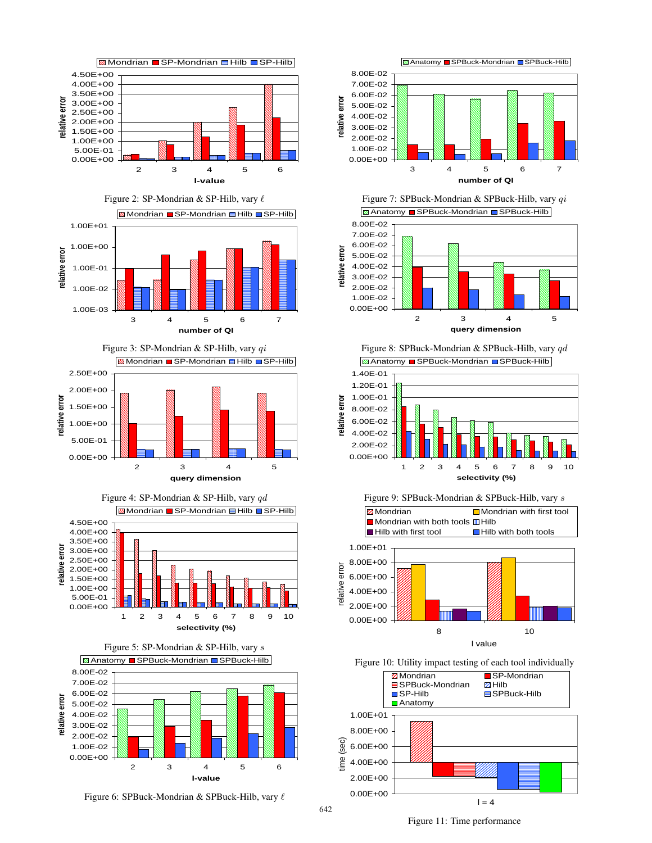



Figure 3: SP-Mondrian & SP-Hilb, vary qi **ØMondrian ■ SP-Mondrian ■ Hilb ■ SP-Hilb** 2.50E+00 2.00E+00 relative error **relative error** 1.50E+00 1.00E+00 5.00E-01 0.00E+00 2345 **query dimension**

Figure 4: SP-Mondrian & SP-Hilb, vary qd **Z** Mondrian SP-Mondrian Hilb SP-Hilb 4.50E+00 4.00E+00 3.50E+00 relative error **relative error** 3.00E+00 2.50E+00 2.00E+00 1.50E+00 1.00E+00 5.00E-01 0.00E+00 1 2 3 4 5 6 7 8 9 10 **selectivity (%)**



Figure 6: SPBuck-Mondrian & SPBuck-Hilb, vary  $\ell$ 





Figure 8: SPBuck-Mondrian & SPBuck-Hilb, vary qd **Z** Anatomy SPBuck-Mondrian SPBuck-Hilb









Figure 11: Time performance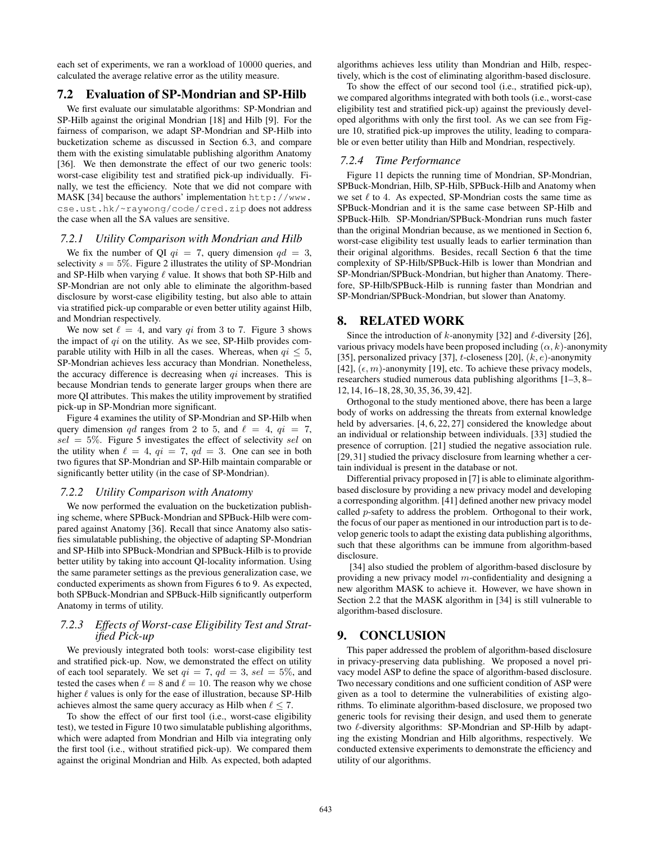each set of experiments, we ran a workload of 10000 queries, and calculated the average relative error as the utility measure.

# 7.2 Evaluation of SP-Mondrian and SP-Hilb

We first evaluate our simulatable algorithms: SP-Mondrian and SP-Hilb against the original Mondrian [18] and Hilb [9]. For the fairness of comparison, we adapt SP-Mondrian and SP-Hilb into bucketization scheme as discussed in Section 6.3, and compare them with the existing simulatable publishing algorithm Anatomy [36]. We then demonstrate the effect of our two generic tools: worst-case eligibility test and stratified pick-up individually. Finally, we test the efficiency. Note that we did not compare with MASK [34] because the authors' implementation http://www. cse.ust.hk/~raywong/code/cred.zip does not address the case when all the SA values are sensitive.

#### *7.2.1 Utility Comparison with Mondrian and Hilb*

We fix the number of QI  $qi = 7$ , query dimension  $qd = 3$ , selectivity  $s = 5\%$ . Figure 2 illustrates the utility of SP-Mondrian and SP-Hilb when varying  $\ell$  value. It shows that both SP-Hilb and SP-Mondrian are not only able to eliminate the algorithm-based disclosure by worst-case eligibility testing, but also able to attain via stratified pick-up comparable or even better utility against Hilb, and Mondrian respectively.

We now set  $\ell = 4$ , and vary qi from 3 to 7. Figure 3 shows the impact of  $qi$  on the utility. As we see, SP-Hilb provides comparable utility with Hilb in all the cases. Whereas, when  $qi < 5$ , SP-Mondrian achieves less accuracy than Mondrian. Nonetheless, the accuracy difference is decreasing when  $qi$  increases. This is because Mondrian tends to generate larger groups when there are more QI attributes. This makes the utility improvement by stratified pick-up in SP-Mondrian more significant.

Figure 4 examines the utility of SP-Mondrian and SP-Hilb when query dimension qd ranges from 2 to 5, and  $\ell = 4$ ,  $qi = 7$ ,  $sel = 5\%$ . Figure 5 investigates the effect of selectivity sel on the utility when  $\ell = 4$ ,  $qi = 7$ ,  $qd = 3$ . One can see in both two figures that SP-Mondrian and SP-Hilb maintain comparable or significantly better utility (in the case of SP-Mondrian).

#### *7.2.2 Utility Comparison with Anatomy*

We now performed the evaluation on the bucketization publishing scheme, where SPBuck-Mondrian and SPBuck-Hilb were compared against Anatomy [36]. Recall that since Anatomy also satisfies simulatable publishing, the objective of adapting SP-Mondrian and SP-Hilb into SPBuck-Mondrian and SPBuck-Hilb is to provide better utility by taking into account QI-locality information. Using the same parameter settings as the previous generalization case, we conducted experiments as shown from Figures 6 to 9. As expected, both SPBuck-Mondrian and SPBuck-Hilb significantly outperform Anatomy in terms of utility.

## *7.2.3 Effects of Worst-case Eligibility Test and Stratified Pick-up*

We previously integrated both tools: worst-case eligibility test and stratified pick-up. Now, we demonstrated the effect on utility of each tool separately. We set  $qi = 7$ ,  $qd = 3$ ,  $sel = 5\%$ , and tested the cases when  $\ell = 8$  and  $\ell = 10$ . The reason why we chose higher  $\ell$  values is only for the ease of illustration, because SP-Hilb achieves almost the same query accuracy as Hilb when  $\ell \le 7$ .

To show the effect of our first tool (i.e., worst-case eligibility test), we tested in Figure 10 two simulatable publishing algorithms, which were adapted from Mondrian and Hilb via integrating only the first tool (i.e., without stratified pick-up). We compared them against the original Mondrian and Hilb. As expected, both adapted algorithms achieves less utility than Mondrian and Hilb, respectively, which is the cost of eliminating algorithm-based disclosure.

To show the effect of our second tool (i.e., stratified pick-up), we compared algorithms integrated with both tools (i.e., worst-case eligibility test and stratified pick-up) against the previously developed algorithms with only the first tool. As we can see from Figure 10, stratified pick-up improves the utility, leading to comparable or even better utility than Hilb and Mondrian, respectively.

## *7.2.4 Time Performance*

Figure 11 depicts the running time of Mondrian, SP-Mondrian, SPBuck-Mondrian, Hilb, SP-Hilb, SPBuck-Hilb and Anatomy when we set  $\ell$  to 4. As expected, SP-Mondrian costs the same time as SPBuck-Mondrian and it is the same case between SP-Hilb and SPBuck-Hilb. SP-Mondrian/SPBuck-Mondrian runs much faster than the original Mondrian because, as we mentioned in Section 6, worst-case eligibility test usually leads to earlier termination than their original algorithms. Besides, recall Section 6 that the time complexity of SP-Hilb/SPBuck-Hilb is lower than Mondrian and SP-Mondrian/SPBuck-Mondrian, but higher than Anatomy. Therefore, SP-Hilb/SPBuck-Hilb is running faster than Mondrian and SP-Mondrian/SPBuck-Mondrian, but slower than Anatomy.

# 8. RELATED WORK

Since the introduction of k-anonymity [32] and  $\ell$ -diversity [26], various privacy models have been proposed including  $(\alpha, k)$ -anonymity [35], personalized privacy [37], t-closeness [20],  $(k, e)$ -anonymity [42],  $(\epsilon, m)$ -anonymity [19], etc. To achieve these privacy models, researchers studied numerous data publishing algorithms [1–3, 8– 12, 14, 16–18, 28, 30, 35, 36, 39, 42].

Orthogonal to the study mentioned above, there has been a large body of works on addressing the threats from external knowledge held by adversaries. [4, 6, 22, 27] considered the knowledge about an individual or relationship between individuals. [33] studied the presence of corruption. [21] studied the negative association rule. [29, 31] studied the privacy disclosure from learning whether a certain individual is present in the database or not.

Differential privacy proposed in [7] is able to eliminate algorithmbased disclosure by providing a new privacy model and developing a corresponding algorithm. [41] defined another new privacy model called p-safety to address the problem. Orthogonal to their work, the focus of our paper as mentioned in our introduction part is to develop generic tools to adapt the existing data publishing algorithms, such that these algorithms can be immune from algorithm-based disclosure.

[34] also studied the problem of algorithm-based disclosure by providing a new privacy model  $m$ -confidentiality and designing a new algorithm MASK to achieve it. However, we have shown in Section 2.2 that the MASK algorithm in [34] is still vulnerable to algorithm-based disclosure.

# 9. CONCLUSION

This paper addressed the problem of algorithm-based disclosure in privacy-preserving data publishing. We proposed a novel privacy model ASP to define the space of algorithm-based disclosure. Two necessary conditions and one sufficient condition of ASP were given as a tool to determine the vulnerabilities of existing algorithms. To eliminate algorithm-based disclosure, we proposed two generic tools for revising their design, and used them to generate two  $\ell$ -diversity algorithms: SP-Mondrian and SP-Hilb by adapting the existing Mondrian and Hilb algorithms, respectively. We conducted extensive experiments to demonstrate the efficiency and utility of our algorithms.